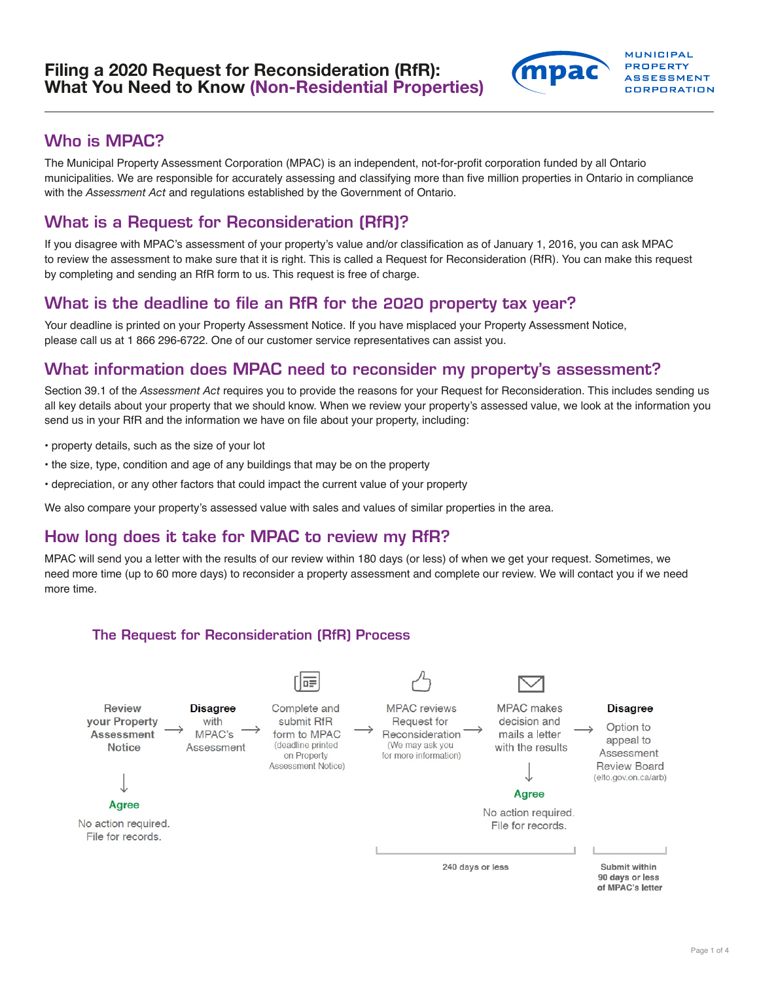

## Who is MPAC?

The Municipal Property Assessment Corporation (MPAC) is an independent, not-for-profit corporation funded by all Ontario municipalities. We are responsible for accurately assessing and classifying more than five million properties in Ontario in compliance with the *Assessment Act* and regulations established by the Government of Ontario.

# What is a Request for Reconsideration (RfR)?

If you disagree with MPAC's assessment of your property's value and/or classification as of January 1, 2016, you can ask MPAC to review the assessment to make sure that it is right. This is called a Request for Reconsideration (RfR). You can make this request by completing and sending an RfR form to us. This request is free of charge.

### What is the deadline to file an RfR for the 2020 property tax year?

Your deadline is printed on your Property Assessment Notice. If you have misplaced your Property Assessment Notice, please call us at 1 866 296-6722. One of our customer service representatives can assist you.

## What information does MPAC need to reconsider my property's assessment?

Section 39.1 of the *Assessment Act* requires you to provide the reasons for your Request for Reconsideration. This includes sending us all key details about your property that we should know. When we review your property's assessed value, we look at the information you send us in your RfR and the information we have on file about your property, including:

- property details, such as the size of your lot
- the size, type, condition and age of any buildings that may be on the property
- depreciation, or any other factors that could impact the current value of your property

We also compare your property's assessed value with sales and values of similar properties in the area.

# How long does it take for MPAC to review my RfR?

MPAC will send you a letter with the results of our review within 180 days (or less) of when we get your request. Sometimes, we need more time (up to 60 more days) to reconsider a property assessment and complete our review. We will contact you if we need more time.

#### The Request for Reconsideration (RfR) Process **The Request for Reconsideration Process (RfR)**

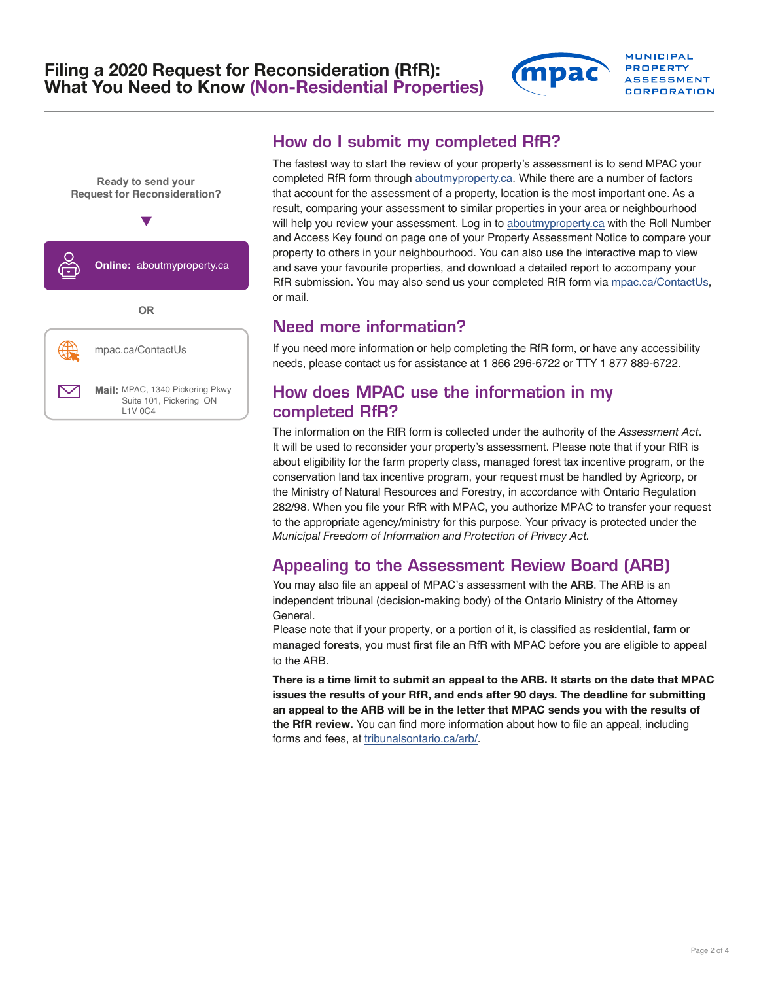

# How do I submit my completed RfR?

The fastest way to start the review of your property's assessment is to send MPAC your completed RfR form through [aboutmyproperty.ca.](https://aboutmyproperty.ca) While there are a number of factors that account for the assessment of a property, location is the most important one. As a result, comparing your assessment to similar properties in your area or neighbourhood will help you review your assessment. Log in to [aboutmyproperty.ca](https://aboutmyproperty.ca) with the Roll Number and Access Key found on page one of your Property Assessment Notice to compare your property to others in your neighbourhood. You can also use the interactive map to view and save your favourite properties, and download a detailed report to accompany your RfR submission. You may also send us your completed RfR form via [mpac.ca/ContactUs](https://www.mpac.ca/ContactUs), or mail.

**MUNICIPAL PROPERTY ASSESSMENT CORPORATION** 

### Need more information?

If you need more information or help completing the RfR form, or have any accessibility needs, please contact us for assistance at 1 866 296-6722 or TTY 1 877 889-6722.

# How does MPAC use the information in my completed RfR?

The information on the RfR form is collected under the authority of the *Assessment Act*. It will be used to reconsider your property's assessment. Please note that if your RfR is about eligibility for the farm property class, managed forest tax incentive program, or the conservation land tax incentive program, your request must be handled by Agricorp, or the Ministry of Natural Resources and Forestry, in accordance with Ontario Regulation 282/98. When you file your RfR with MPAC, you authorize MPAC to transfer your request to the appropriate agency/ministry for this purpose. Your privacy is protected under the *Municipal Freedom of Information and Protection of Privacy Act.*

# Appealing to the Assessment Review Board (ARB)

You may also file an appeal of MPAC's assessment with the ARB. The ARB is an independent tribunal (decision-making body) of the Ontario Ministry of the Attorney General.

Please note that if your property, or a portion of it, is classified as residential, farm or managed forests, you must first file an RfR with MPAC before you are eligible to appeal to the ARB.

There is a time limit to submit an appeal to the ARB. It starts on the date that MPAC issues the results of your RfR, and ends after 90 days. The deadline for submitting an appeal to the ARB will be in the letter that MPAC sends you with the results of the RfR review. You can find more information about how to file an appeal, including forms and fees, at [tribunalsontario.ca/arb/](https://arb.gov.on.ca/).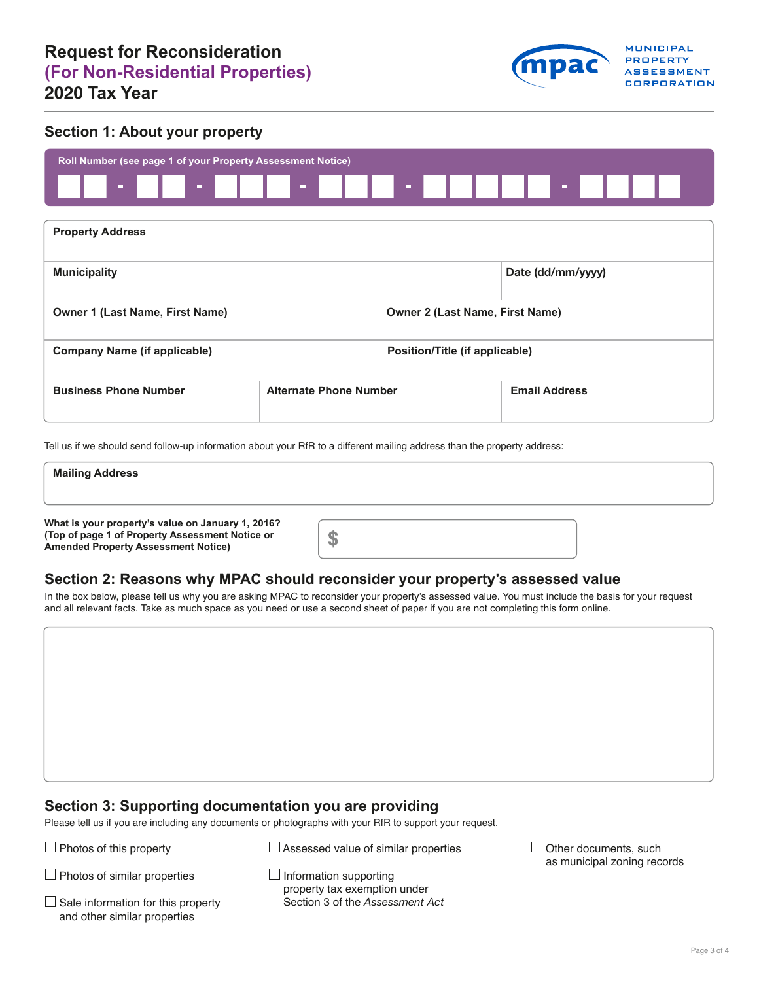

#### **Section 1: About your property**



| <b>Property Address</b>                |                               |                                        |                      |  |  |
|----------------------------------------|-------------------------------|----------------------------------------|----------------------|--|--|
| <b>Municipality</b>                    |                               |                                        | Date (dd/mm/yyyy)    |  |  |
| <b>Owner 1 (Last Name, First Name)</b> |                               | <b>Owner 2 (Last Name, First Name)</b> |                      |  |  |
| <b>Company Name (if applicable)</b>    |                               | Position/Title (if applicable)         |                      |  |  |
| <b>Business Phone Number</b>           | <b>Alternate Phone Number</b> |                                        | <b>Email Address</b> |  |  |

Tell us if we should send follow-up information about your RfR to a different mailing address than the property address:

| <b>Mailing Address</b>                                                                                                                                   |       |  |  |
|----------------------------------------------------------------------------------------------------------------------------------------------------------|-------|--|--|
|                                                                                                                                                          |       |  |  |
| What is your property's value on January 1, 2016?<br>(Top of page 1 of Property Assessment Notice or<br>Appropriatel Discovered L. Appropriation Matters | m. I. |  |  |

#### **Section 2: Reasons why MPAC should reconsider your property's assessed value**

In the box below, please tell us why you are asking MPAC to reconsider your property's assessed value. You must include the basis for your request and all relevant facts. Take as much space as you need or use a second sheet of paper if you are not completing this form online.

#### **Section 3: Supporting documentation you are providing**

Please tell us if you are including any documents or photographs with your RfR to support your request.

 $\Box$  Photos of this property

 $\Box$  Assessed value of similar properties

 $\Box$  Photos of similar properties

 $\Box$  Sale information for this property and other similar properties

**Amended Property Assessment Notice)** 

 $\Box$  Information supporting property tax exemption under Section 3 of the Assessment Act  $\Box$  Other documents, such as municipal zoning records

Page 3 of 4